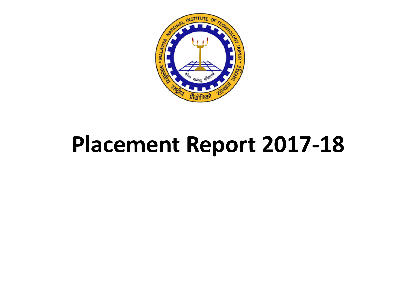

# **Placement Report 2017-18**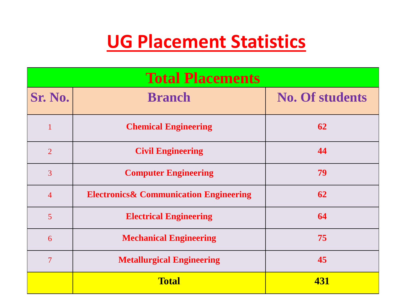# **UG Placement Statistics**

| <b>Total Placements</b> |                                                   |                        |  |  |
|-------------------------|---------------------------------------------------|------------------------|--|--|
| Sr. No.                 | <b>Branch</b>                                     | <b>No. Of students</b> |  |  |
| $\mathbf{1}$            | <b>Chemical Engineering</b>                       | 62                     |  |  |
| $\overline{2}$          | <b>Civil Engineering</b>                          | 44                     |  |  |
| $\overline{3}$          | <b>Computer Engineering</b>                       | 79                     |  |  |
| $\overline{4}$          | <b>Electronics&amp; Communication Engineering</b> | 62                     |  |  |
| $\overline{5}$          | <b>Electrical Engineering</b>                     | 64                     |  |  |
| 6                       | <b>Mechanical Engineering</b>                     | 75                     |  |  |
| $\overline{7}$          | <b>Metallurgical Engineering</b>                  | 45                     |  |  |
|                         | <b>Total</b>                                      | 431                    |  |  |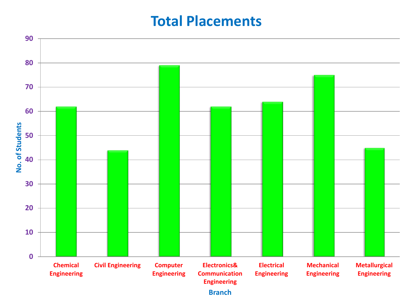#### **Total Placements**

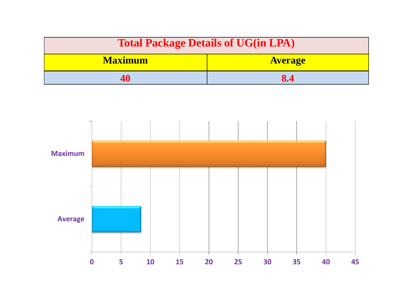| <b>Total Package Details of UG(in LPA)</b> |                |  |
|--------------------------------------------|----------------|--|
| <b>Maximum</b>                             | <b>Average</b> |  |
|                                            | 8.4            |  |

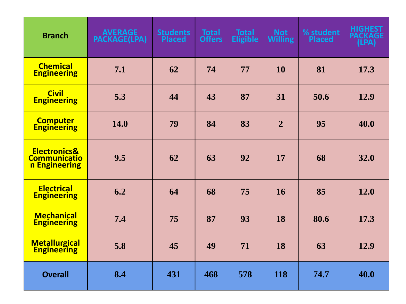| <b>Branch</b>                                                   | <b>AVERAGE</b><br><b>PACKAGE(LPA)</b> | <b>Students</b><br><b>Placed</b> | <b>Total</b><br><b>Offers</b> | <b>Total</b><br><b>Eligible</b> | <b>Not</b><br><b>Willing</b> | % student<br><b>Placed</b> | <b>HIGHEST</b><br><b>PACKAGE</b><br>(LPA) |
|-----------------------------------------------------------------|---------------------------------------|----------------------------------|-------------------------------|---------------------------------|------------------------------|----------------------------|-------------------------------------------|
| <b>Chemical</b><br><b>Engineering</b>                           | 7.1                                   | 62                               | 74                            | 77                              | <b>10</b>                    | 81                         | 17.3                                      |
| <b>Civil</b><br><b>Engineering</b>                              | 5.3                                   | 44                               | 43                            | 87                              | 31                           | 50.6                       | 12.9                                      |
| <b>Computer</b><br><b>Engineering</b>                           | <b>14.0</b>                           | 79                               | 84                            | 83                              | $\overline{2}$               | 95                         | 40.0                                      |
| <b>Electronics&amp;</b><br><b>Communicatio</b><br>n Engineering | 9.5                                   | 62                               | 63                            | 92                              | 17                           | 68                         | 32.0                                      |
| <b>Electrical</b><br><b>Engineering</b>                         | 6.2                                   | 64                               | 68                            | 75                              | <b>16</b>                    | 85                         | 12.0                                      |
| <b>Mechanical</b><br><b>Engineering</b>                         | 7.4                                   | 75                               | 87                            | 93                              | 18                           | 80.6                       | 17.3                                      |
| <b>Metallurgical</b><br><b>Engineering</b>                      | 5.8                                   | 45                               | 49                            | 71                              | 18                           | 63                         | 12.9                                      |
| <b>Overall</b>                                                  | 8.4                                   | 431                              | 468                           | 578                             | 118                          | 74.7                       | 40.0                                      |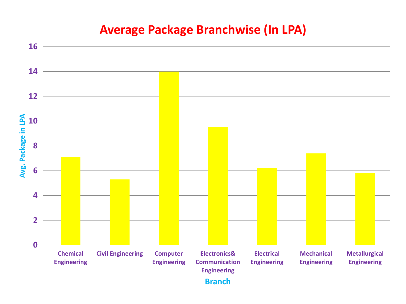#### **Average Package Branchwise (In LPA)**

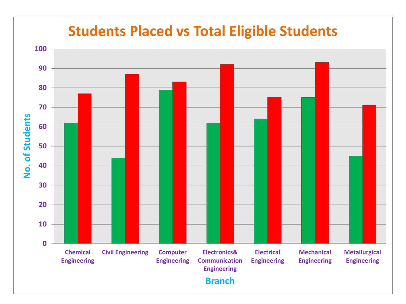#### **Students Placed vs Total Eligible Students**

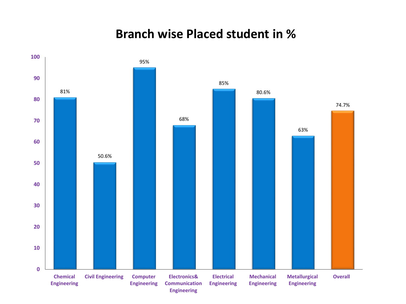#### **Branch wise Placed student in %**

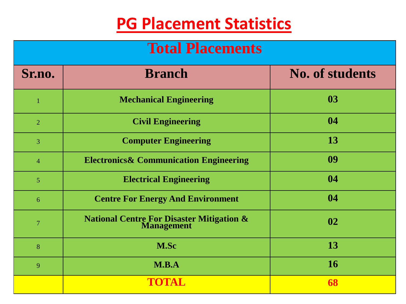# **PG Placement Statistics**

### **Total Placements**

| Sr.no.         | <b>Branch</b>                                                   | <b>No. of students</b> |
|----------------|-----------------------------------------------------------------|------------------------|
| $\overline{1}$ | <b>Mechanical Engineering</b>                                   | 03                     |
| 2              | <b>Civil Engineering</b>                                        | 04                     |
| $\overline{3}$ | <b>Computer Engineering</b>                                     | 13                     |
| $\overline{4}$ | <b>Electronics &amp; Communication Engineering</b>              | 09                     |
| $\overline{5}$ | <b>Electrical Engineering</b>                                   | 04                     |
| 6              | <b>Centre For Energy And Environment</b>                        | 04                     |
| $\overline{7}$ | <b>National Centre For Disaster Mitigation &amp; Management</b> | 02                     |
| 8              | M.Sc                                                            | 13                     |
| 9              | M.B.A                                                           | <b>16</b>              |
|                | TOTAL                                                           | 68                     |